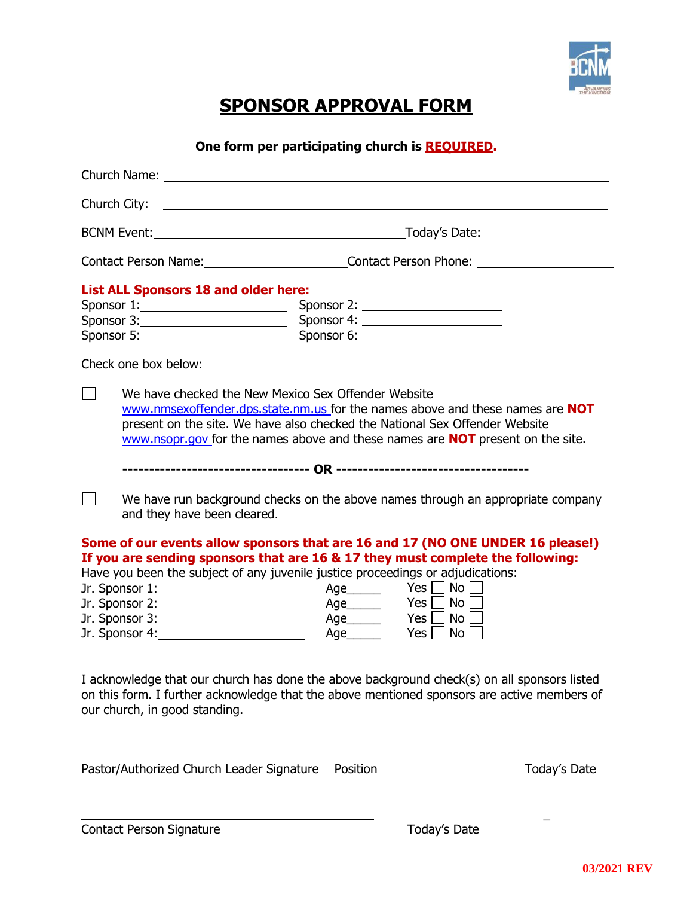

## **SPONSOR APPROVAL FORM**

**One form per participating church is REQUIRED.**

| Church City:                                                                                                                                                                                                                  | <u> 1999 - Jan Samuel Barbara, martin da shekara ta 1999 - Andrea Samuel Barbara, marka a shekara ta 1991 - Andrea Sa</u>                                                                                                                                                                                                                                                 |  |
|-------------------------------------------------------------------------------------------------------------------------------------------------------------------------------------------------------------------------------|---------------------------------------------------------------------------------------------------------------------------------------------------------------------------------------------------------------------------------------------------------------------------------------------------------------------------------------------------------------------------|--|
|                                                                                                                                                                                                                               |                                                                                                                                                                                                                                                                                                                                                                           |  |
|                                                                                                                                                                                                                               | Contact Person Name: Contact Person Phone: Contact Person Phone:                                                                                                                                                                                                                                                                                                          |  |
| <b>List ALL Sponsors 18 and older here:</b>                                                                                                                                                                                   | Sponsor 1: Sponsor 2: Sponsor 2:<br>Sponsor 3: Sponsor 4:<br>Sponsor 5: Sponsor 6: Sponsor 6: Sponsor 6: Sponsor 5:                                                                                                                                                                                                                                                       |  |
| Check one box below:                                                                                                                                                                                                          |                                                                                                                                                                                                                                                                                                                                                                           |  |
| We have checked the New Mexico Sex Offender Website                                                                                                                                                                           | www.nmsexoffender.dps.state.nm.us for the names above and these names are NOT<br>present on the site. We have also checked the National Sex Offender Website<br>www.nsopr.gov for the names above and these names are <b>NOT</b> present on the site.                                                                                                                     |  |
| and they have been cleared.                                                                                                                                                                                                   | We have run background checks on the above names through an appropriate company                                                                                                                                                                                                                                                                                           |  |
| Jr. Sponsor 1: ________________________<br>Jr. Sponsor 3: _________________________<br>Jr. Sponsor 4:<br><u> 1989 - Johann Barn, mars ann an t-Amhain Aonaich an t-Aonaich an t-Aonaich ann an t-Aonaich ann an t-Aonaich</u> | Some of our events allow sponsors that are 16 and 17 (NO ONE UNDER 16 please!)<br>If you are sending sponsors that are 16 & 17 they must complete the following:<br>Have you been the subject of any juvenile justice proceedings or adjudications:<br>$Age$ Yes $\Box$ No $\Box$<br>Yes $\Box$ No $\Box$<br>Age<br>$Age$ $Yes \cup No$<br>$Yes \mid \neg No \mid$<br>Age |  |

I acknowledge that our church has done the above background check(s) on all sponsors listed on this form. I further acknowledge that the above mentioned sponsors are active members of our church, in good standing.

Pastor/Authorized Church Leader Signature Position Today's Date

 $\overline{\phantom{a}}$